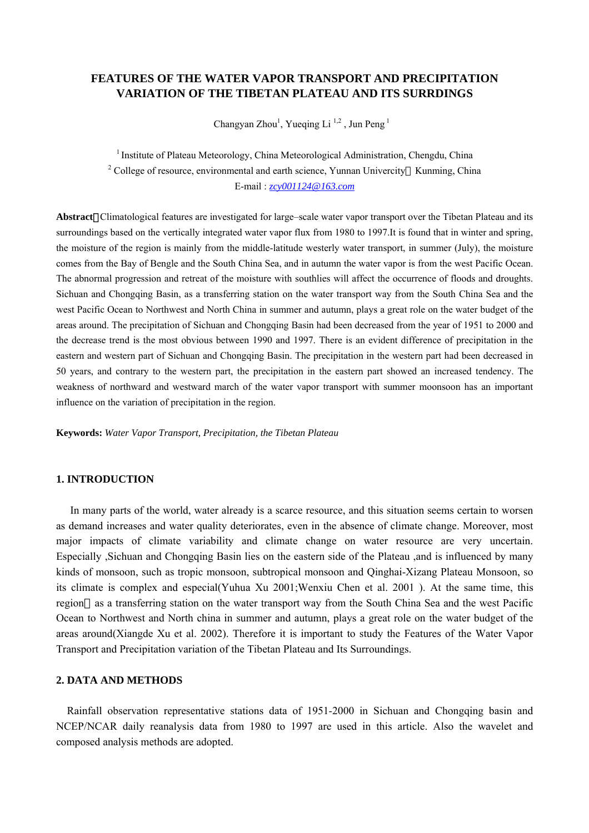# **FEATURES OF THE WATER VAPOR TRANSPORT AND PRECIPITATION VARIATION OF THE TIBETAN PLATEAU AND ITS SURRDINGS**

Changyan Zhou<sup>1</sup>, Yueqing Li<sup>1,2</sup>, Jun Peng<sup>1</sup>

<sup>1</sup> Institute of Plateau Meteorology, China Meteorological Administration, Chengdu, China <sup>2</sup> College of resource, environmental and earth science, Yunnan Univercity Kunming, China E-mail : *[zcy001124@163.com](mailto:zcy001124@163.com)*

**Abstract**:Climatological features are investigated for large–scale water vapor transport over the Tibetan Plateau and its surroundings based on the vertically integrated water vapor flux from 1980 to 1997.It is found that in winter and spring, the moisture of the region is mainly from the middle-latitude westerly water transport, in summer (July), the moisture comes from the Bay of Bengle and the South China Sea, and in autumn the water vapor is from the west Pacific Ocean. The abnormal progression and retreat of the moisture with southlies will affect the occurrence of floods and droughts. Sichuan and Chongqing Basin, as a transferring station on the water transport way from the South China Sea and the west Pacific Ocean to Northwest and North China in summer and autumn, plays a great role on the water budget of the areas around. The precipitation of Sichuan and Chongqing Basin had been decreased from the year of 1951 to 2000 and the decrease trend is the most obvious between 1990 and 1997. There is an evident difference of precipitation in the eastern and western part of Sichuan and Chongqing Basin. The precipitation in the western part had been decreased in 50 years, and contrary to the western part, the precipitation in the eastern part showed an increased tendency. The weakness of northward and westward march of the water vapor transport with summer moonsoon has an important influence on the variation of precipitation in the region.

**Keywords:** *Water Vapor Transport, Precipitation, the Tibetan Plateau* 

#### **1. INTRODUCTION**

In many parts of the world, water already is a scarce resource, and this situation seems certain to worsen as demand increases and water quality deteriorates, even in the absence of climate change. Moreover, most major impacts of climate variability and climate change on water resource are very uncertain. Especially ,Sichuan and Chongqing Basin lies on the eastern side of the Plateau ,and is influenced by many kinds of monsoon, such as tropic monsoon, subtropical monsoon and Qinghai-Xizang Plateau Monsoon, so its climate is complex and especial(Yuhua Xu 2001;Wenxiu Chen et al. 2001 ). At the same time, this region as a transferring station on the water transport way from the South China Sea and the west Pacific Ocean to Northwest and North china in summer and autumn, plays a great role on the water budget of the areas around(Xiangde Xu et al. 2002). Therefore it is important to study the Features of the Water Vapor Transport and Precipitation variation of the Tibetan Plateau and Its Surroundings.

## **2. DATA AND METHODS**

Rainfall observation representative stations data of 1951-2000 in Sichuan and Chongqing basin and NCEP/NCAR daily reanalysis data from 1980 to 1997 are used in this article. Also the wavelet and composed analysis methods are adopted.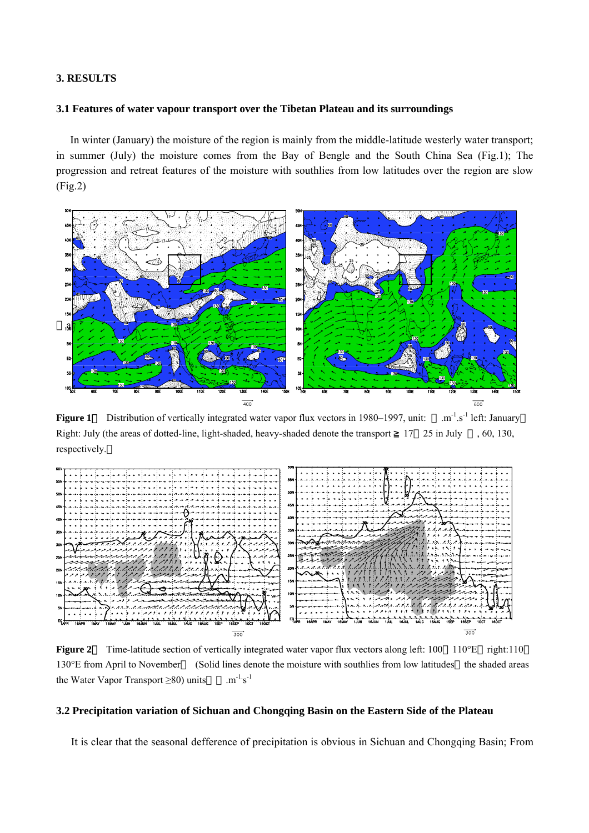### **3. RESULTS**

## **3.1 Features of water vapour transport over the Tibetan Plateau and its surroundings**

In winter (January) the moisture of the region is mainly from the middle-latitude westerly water transport; in summer (July) the moisture comes from the Bay of Bengle and the South China Sea (Fig.1); The progression and retreat features of the moisture with southlies from low latitudes over the region are slow (Fig.2)



**Figure 1** Distribution of vertically integrated water vapor flux vectors in 1980–1997, unit: .m<sup>-1</sup>.s<sup>-1</sup> left: January Right: July (the areas of dotted-line, light-shaded, heavy-shaded denote the transport 17 25 in July , 60, 130, respectively.



**Figure 2**: Time-latitude section of vertically integrated water vapor flux vectors along left: 100 110°E right:110 130°E from April to November (Solid lines denote the moisture with southlies from low latitudes the shaded areas the Water Vapor Transport  $\geq 80$ ) units  $m^{-1} s^{-1}$ 

### **3.2 Precipitation variation of Sichuan and Chongqing Basin on the Eastern Side of the Plateau**

It is clear that the seasonal defference of precipitation is obvious in Sichuan and Chongqing Basin; From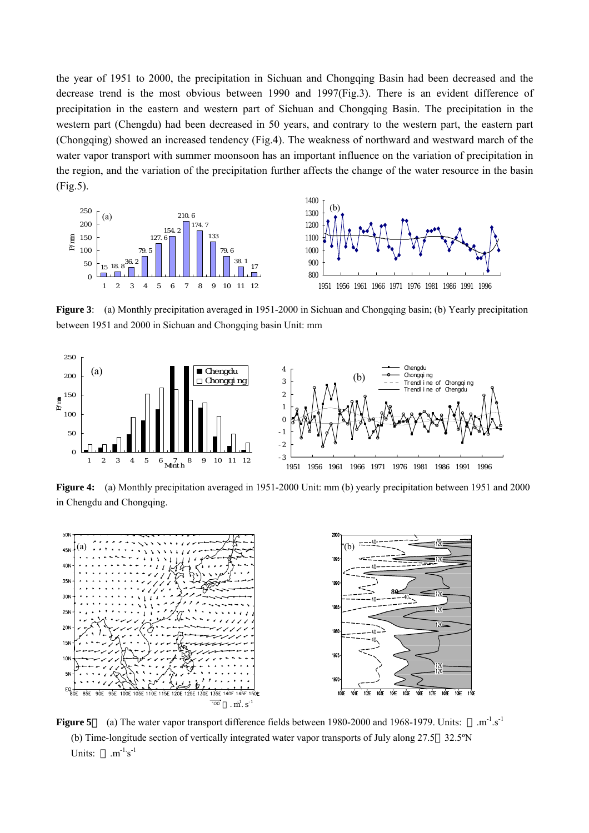the year of 1951 to 2000, the precipitation in Sichuan and Chongqing Basin had been decreased and the decrease trend is the most obvious between 1990 and 1997(Fig.3). There is an evident difference of precipitation in the eastern and western part of Sichuan and Chongqing Basin. The precipitation in the western part (Chengdu) had been decreased in 50 years, and contrary to the western part, the eastern part (Chongqing) showed an increased tendency (Fig.4). The weakness of northward and westward march of the water vapor transport with summer moonsoon has an important influence on the variation of precipitation in the region, and the variation of the precipitation further affects the change of the water resource in the basin (Fig.5).



**Figure 3**: (a) Monthly precipitation averaged in 1951-2000 in Sichuan and Chongqing basin; (b) Yearly precipitation between 1951 and 2000 in Sichuan and Chongqing basin Unit: mm



**Figure 4:** (a) Monthly precipitation averaged in 1951-2000 Unit: mm (b) yearly precipitation between 1951 and 2000 in Chengdu and Chongqing.



**Figure 5**: (a) The water vapor transport difference fields between 1980-2000 and 1968-1979. Units:  $\text{m}^{-1} \text{s}^{-1}$ (b) Time-longitude section of vertically integrated water vapor transports of July along 27.5 32.5ºN Units:  $\cdot m^{-1} s^{-1}$